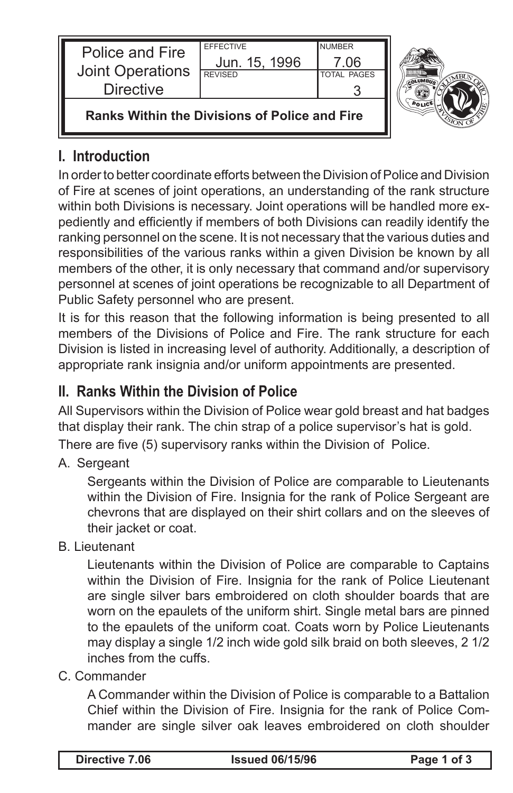| Police and Fire                                      | <b>EFFECTIVE</b> | <b>NUMBER</b>      |  |
|------------------------------------------------------|------------------|--------------------|--|
| Joint Operations                                     | Jun. 15, 1996    | 7.06               |  |
| <b>Directive</b>                                     | <b>REVISED</b>   | <b>TOTAL PAGES</b> |  |
| <b>Ranks Within the Divisions of Police and Fire</b> |                  |                    |  |

## **I. Introduction**

In order to better coordinate efforts between the Division of Police and Division of Fire at scenes of joint operations, an understanding of the rank structure within both Divisions is necessary. Joint operations will be handled more expediently and efficiently if members of both Divisions can readily identify the ranking personnel on the scene. It is not necessary that the various duties and responsibilities of the various ranks within a given Division be known by all members of the other, it is only necessary that command and/or supervisory personnel at scenes of joint operations be recognizable to all Department of Public Safety personnel who are present.

It is for this reason that the following information is being presented to all members of the Divisions of Police and Fire. The rank structure for each Division is listed in increasing level of authority. Additionally, a description of appropriate rank insignia and/or uniform appointments are presented.

# **II. Ranks Within the Division of Police**

All Supervisors within the Division of Police wear gold breast and hat badges that display their rank. The chin strap of a police supervisor's hat is gold.

There are five (5) supervisory ranks within the Division of Police.

A. Sergeant

Sergeants within the Division of Police are comparable to Lieutenants within the Division of Fire. Insignia for the rank of Police Sergeant are chevrons that are displayed on their shirt collars and on the sleeves of their jacket or coat.

B. Lieutenant

Lieutenants within the Division of Police are comparable to Captains within the Division of Fire. Insignia for the rank of Police Lieutenant are single silver bars embroidered on cloth shoulder boards that are worn on the epaulets of the uniform shirt. Single metal bars are pinned to the epaulets of the uniform coat. Coats worn by Police Lieutenants may display a single 1/2 inch wide gold silk braid on both sleeves, 2 1/2 inches from the cuffs.

### C. Commander

A Commander within the Division of Police is comparable to a Battalion Chief within the Division of Fire. Insignia for the rank of Police Commander are single silver oak leaves embroidered on cloth shoulder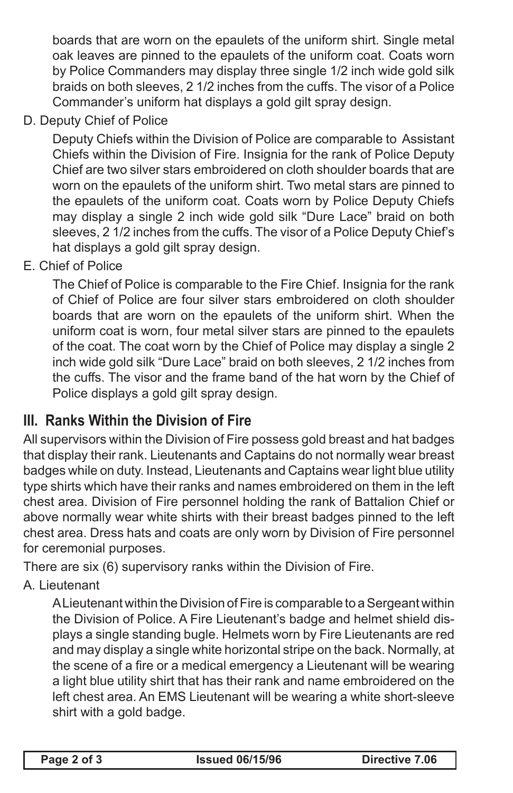boards that are worn on the epaulets of the uniform shirt. Single metal oak leaves are pinned to the epaulets of the uniform coat. Coats worn by Police Commanders may display three single 1/2 inch wide gold silk braids on both sleeves, 2 1/2 inches from the cuffs. The visor of a Police Commander's uniform hat displays a gold gilt spray design.

D. Deputy Chief of Police

Deputy Chiefs within the Division of Police are comparable to Assistant Chiefs within the Division of Fire. Insignia for the rank of Police Deputy Chief are two silver stars embroidered on cloth shoulder boards that are worn on the epaulets of the uniform shirt. Two metal stars are pinned to the epaulets of the uniform coat. Coats worn by Police Deputy Chiefs may display a single 2 inch wide gold silk "Dure Lace" braid on both sleeves, 2 1/2 inches from the cuffs. The visor of a Police Deputy Chief's hat displays a gold gilt spray design.

E. Chief of Police

The Chief of Police is comparable to the Fire Chief. Insignia for the rank of Chief of Police are four silver stars embroidered on cloth shoulder boards that are worn on the epaulets of the uniform shirt. When the uniform coat is worn, four metal silver stars are pinned to the epaulets of the coat. The coat worn by the Chief of Police may display a single 2 inch wide gold silk "Dure Lace" braid on both sleeves, 2 1/2 inches from the cuffs. The visor and the frame band of the hat worn by the Chief of Police displays a gold gilt spray design.

# **III. Ranks Within the Division of Fire**

All supervisors within the Division of Fire possess gold breast and hat badges that display their rank. Lieutenants and Captains do not normally wear breast badges while on duty. Instead, Lieutenants and Captains wear light blue utility type shirts which have their ranks and names embroidered on them in the left chest area. Division of Fire personnel holding the rank of Battalion Chief or above normally wear white shirts with their breast badges pinned to the left chest area. Dress hats and coats are only worn by Division of Fire personnel for ceremonial purposes.

There are six (6) supervisory ranks within the Division of Fire.

## A. Lieutenant

A Lieutenant within the Division of Fire is comparable to a Sergeant within the Division of Police. A Fire Lieutenant's badge and helmet shield displays a single standing bugle. Helmets worn by Fire Lieutenants are red and may display a single white horizontal stripe on the back. Normally, at the scene of a fire or a medical emergency a Lieutenant will be wearing a light blue utility shirt that has their rank and name embroidered on the left chest area. An EMS Lieutenant will be wearing a white short-sleeve shirt with a gold badge.